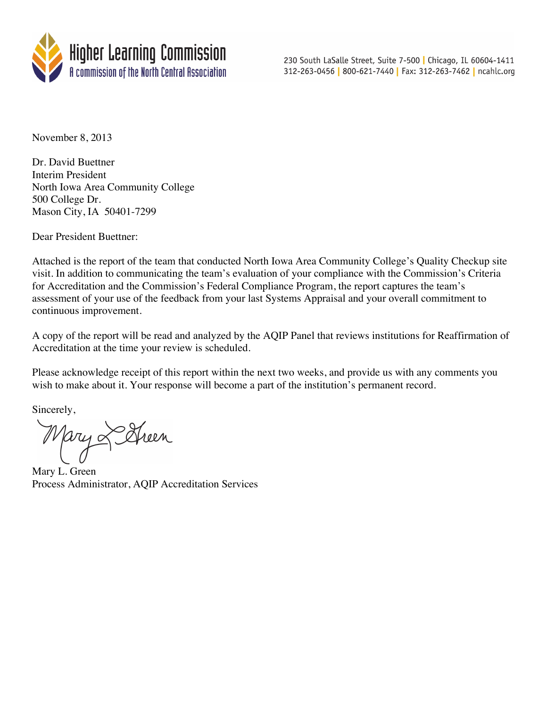

230 South LaSalle Street, Suite 7-500 | Chicago, IL 60604-1411 312-263-0456 | 800-621-7440 | Fax: 312-263-7462 | ncahlc.org

November 8, 2013

Dr. David Buettner Interim President North Iowa Area Community College 500 College Dr. Mason City, IA 50401-7299

Dear President Buettner:

Attached is the report of the team that conducted North Iowa Area Community College's Quality Checkup site visit. In addition to communicating the team's evaluation of your compliance with the Commission's Criteria for Accreditation and the Commission's Federal Compliance Program, the report captures the team's assessment of your use of the feedback from your last Systems Appraisal and your overall commitment to continuous improvement.

A copy of the report will be read and analyzed by the AQIP Panel that reviews institutions for Reaffirmation of Accreditation at the time your review is scheduled.

Please acknowledge receipt of this report within the next two weeks, and provide us with any comments you wish to make about it. Your response will become a part of the institution's permanent record.

Sincerely,

Mary L Streen

Mary L. Green Process Administrator, AQIP Accreditation Services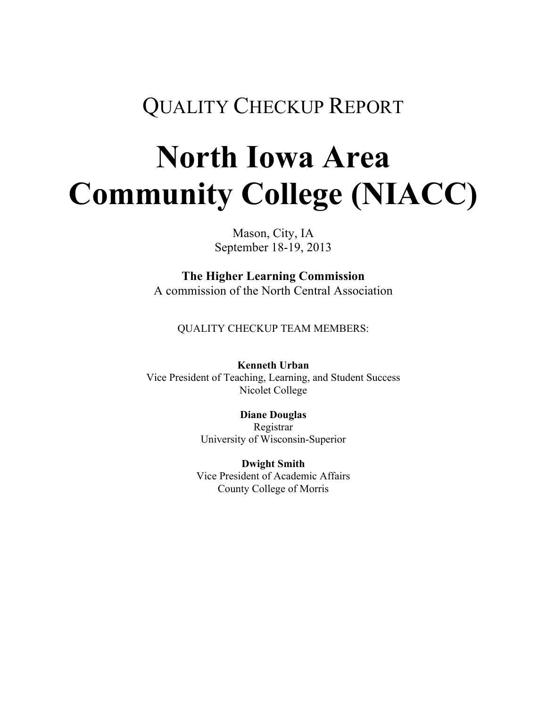## QUALITY CHECKUP REPORT

# **North Iowa Area Community College (NIACC)**

Mason, City, IA September 18-19, 2013

**The Higher Learning Commission** A commission of the North Central Association

QUALITY CHECKUP TEAM MEMBERS:

**Kenneth Urban** Vice President of Teaching, Learning, and Student Success Nicolet College

> **Diane Douglas** Registrar University of Wisconsin-Superior

**Dwight Smith** Vice President of Academic Affairs County College of Morris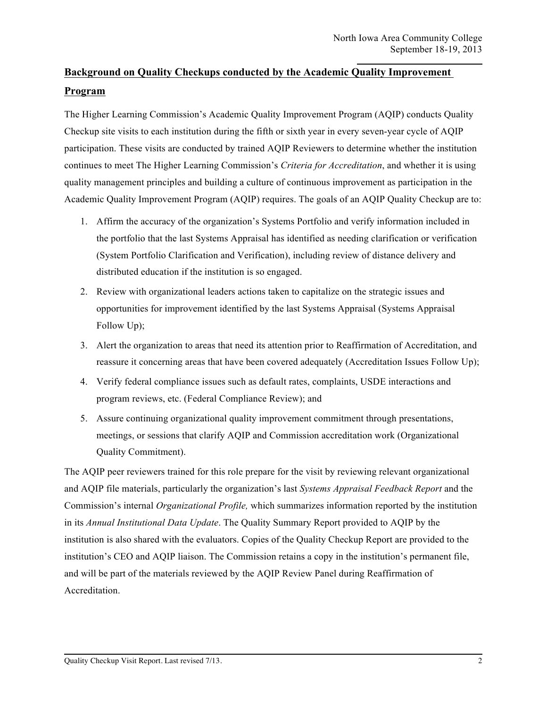## **Background on Quality Checkups conducted by the Academic Quality Improvement Program**

The Higher Learning Commission's Academic Quality Improvement Program (AQIP) conducts Quality Checkup site visits to each institution during the fifth or sixth year in every seven-year cycle of AQIP participation. These visits are conducted by trained AQIP Reviewers to determine whether the institution continues to meet The Higher Learning Commission's *Criteria for Accreditation*, and whether it is using quality management principles and building a culture of continuous improvement as participation in the Academic Quality Improvement Program (AQIP) requires. The goals of an AQIP Quality Checkup are to:

- 1. Affirm the accuracy of the organization's Systems Portfolio and verify information included in the portfolio that the last Systems Appraisal has identified as needing clarification or verification (System Portfolio Clarification and Verification), including review of distance delivery and distributed education if the institution is so engaged.
- 2. Review with organizational leaders actions taken to capitalize on the strategic issues and opportunities for improvement identified by the last Systems Appraisal (Systems Appraisal Follow Up);
- 3. Alert the organization to areas that need its attention prior to Reaffirmation of Accreditation, and reassure it concerning areas that have been covered adequately (Accreditation Issues Follow Up);
- 4. Verify federal compliance issues such as default rates, complaints, USDE interactions and program reviews, etc. (Federal Compliance Review); and
- 5. Assure continuing organizational quality improvement commitment through presentations, meetings, or sessions that clarify AQIP and Commission accreditation work (Organizational Quality Commitment).

The AQIP peer reviewers trained for this role prepare for the visit by reviewing relevant organizational and AQIP file materials, particularly the organization's last *Systems Appraisal Feedback Report* and the Commission's internal *Organizational Profile,* which summarizes information reported by the institution in its *Annual Institutional Data Update*. The Quality Summary Report provided to AQIP by the institution is also shared with the evaluators. Copies of the Quality Checkup Report are provided to the institution's CEO and AQIP liaison. The Commission retains a copy in the institution's permanent file, and will be part of the materials reviewed by the AQIP Review Panel during Reaffirmation of Accreditation.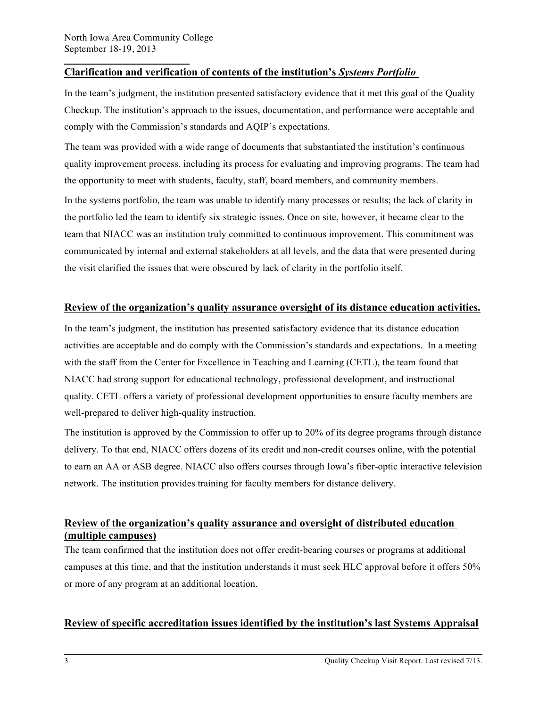#### **Clarification and verification of contents of the institution's** *Systems Portfolio*

In the team's judgment, the institution presented satisfactory evidence that it met this goal of the Quality Checkup. The institution's approach to the issues, documentation, and performance were acceptable and comply with the Commission's standards and AQIP's expectations.

The team was provided with a wide range of documents that substantiated the institution's continuous quality improvement process, including its process for evaluating and improving programs. The team had the opportunity to meet with students, faculty, staff, board members, and community members.

In the systems portfolio, the team was unable to identify many processes or results; the lack of clarity in the portfolio led the team to identify six strategic issues. Once on site, however, it became clear to the team that NIACC was an institution truly committed to continuous improvement. This commitment was communicated by internal and external stakeholders at all levels, and the data that were presented during the visit clarified the issues that were obscured by lack of clarity in the portfolio itself.

#### **Review of the organization's quality assurance oversight of its distance education activities.**

In the team's judgment, the institution has presented satisfactory evidence that its distance education activities are acceptable and do comply with the Commission's standards and expectations. In a meeting with the staff from the Center for Excellence in Teaching and Learning (CETL), the team found that NIACC had strong support for educational technology, professional development, and instructional quality. CETL offers a variety of professional development opportunities to ensure faculty members are well-prepared to deliver high-quality instruction.

The institution is approved by the Commission to offer up to 20% of its degree programs through distance delivery. To that end, NIACC offers dozens of its credit and non-credit courses online, with the potential to earn an AA or ASB degree. NIACC also offers courses through Iowa's fiber-optic interactive television network. The institution provides training for faculty members for distance delivery.

#### **Review of the organization's quality assurance and oversight of distributed education (multiple campuses)**

The team confirmed that the institution does not offer credit-bearing courses or programs at additional campuses at this time, and that the institution understands it must seek HLC approval before it offers 50% or more of any program at an additional location.

#### **Review of specific accreditation issues identified by the institution's last Systems Appraisal**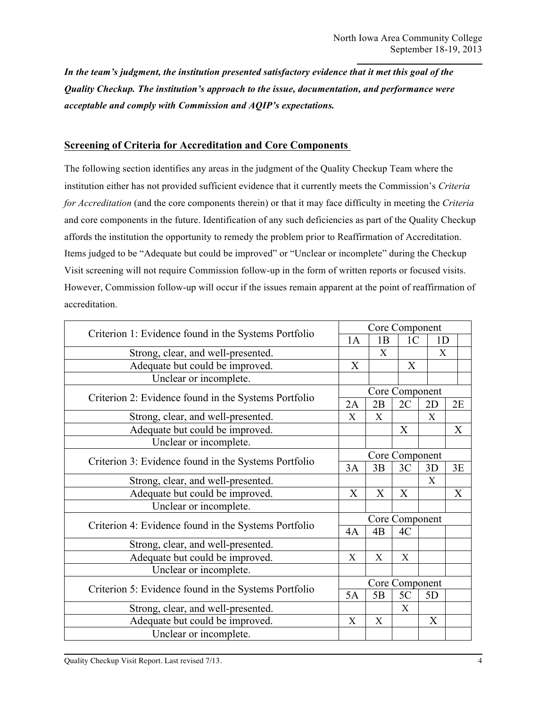*In the team's judgment, the institution presented satisfactory evidence that it met this goal of the Quality Checkup. The institution's approach to the issue, documentation, and performance were acceptable and comply with Commission and AQIP's expectations.*

#### **Screening of Criteria for Accreditation and Core Components**

The following section identifies any areas in the judgment of the Quality Checkup Team where the institution either has not provided sufficient evidence that it currently meets the Commission's *Criteria for Accreditation* (and the core components therein) or that it may face difficulty in meeting the *Criteria* and core components in the future. Identification of any such deficiencies as part of the Quality Checkup affords the institution the opportunity to remedy the problem prior to Reaffirmation of Accreditation. Items judged to be "Adequate but could be improved" or "Unclear or incomplete" during the Checkup Visit screening will not require Commission follow-up in the form of written reports or focused visits. However, Commission follow-up will occur if the issues remain apparent at the point of reaffirmation of accreditation.

| Criterion 1: Evidence found in the Systems Portfolio | Core Component |                           |                  |                |              |  |
|------------------------------------------------------|----------------|---------------------------|------------------|----------------|--------------|--|
|                                                      | 1A             | 1B                        | 1 <sup>C</sup>   | 1 <sub>D</sub> |              |  |
| Strong, clear, and well-presented.                   |                | X                         |                  |                | $\mathbf{X}$ |  |
| Adequate but could be improved.                      | X              |                           | X                |                |              |  |
| Unclear or incomplete.                               |                |                           |                  |                |              |  |
| Criterion 2: Evidence found in the Systems Portfolio | Core Component |                           |                  |                |              |  |
|                                                      | 2A             | 2B                        | 2C               | 2D             | 2E           |  |
| Strong, clear, and well-presented.                   | X              | X                         |                  | X              |              |  |
| Adequate but could be improved.                      |                |                           | $\boldsymbol{X}$ |                | X            |  |
| Unclear or incomplete.                               |                |                           |                  |                |              |  |
| Criterion 3: Evidence found in the Systems Portfolio | Core Component |                           |                  |                |              |  |
|                                                      | 3A             | 3B                        | 3C               | 3D             | 3E           |  |
| Strong, clear, and well-presented.                   |                |                           |                  | X              |              |  |
| Adequate but could be improved.                      | X              | X                         | X                |                | $\mathbf X$  |  |
| Unclear or incomplete.                               |                |                           |                  |                |              |  |
| Criterion 4: Evidence found in the Systems Portfolio | Core Component |                           |                  |                |              |  |
|                                                      | 4A             | 4B                        | 4C               |                |              |  |
| Strong, clear, and well-presented.                   |                |                           |                  |                |              |  |
| Adequate but could be improved.                      | $\mathbf X$    | $\boldsymbol{\mathrm{X}}$ | X                |                |              |  |
| Unclear or incomplete.                               |                |                           |                  |                |              |  |
| Criterion 5: Evidence found in the Systems Portfolio | Core Component |                           |                  |                |              |  |
|                                                      | 5A             | 5B                        | 5C               | 5D             |              |  |
| Strong, clear, and well-presented.                   |                |                           | X                |                |              |  |
| Adequate but could be improved.                      | X              | $\boldsymbol{\mathrm{X}}$ |                  | X              |              |  |
| Unclear or incomplete.                               |                |                           |                  |                |              |  |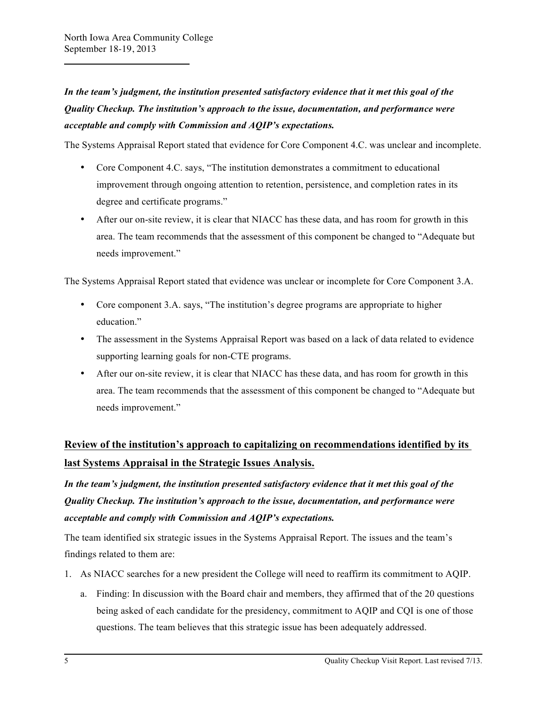*In the team's judgment, the institution presented satisfactory evidence that it met this goal of the Quality Checkup. The institution's approach to the issue, documentation, and performance were acceptable and comply with Commission and AQIP's expectations.*

The Systems Appraisal Report stated that evidence for Core Component 4.C. was unclear and incomplete.

- Core Component 4.C. says, "The institution demonstrates a commitment to educational improvement through ongoing attention to retention, persistence, and completion rates in its degree and certificate programs."
- After our on-site review, it is clear that NIACC has these data, and has room for growth in this area. The team recommends that the assessment of this component be changed to "Adequate but needs improvement."

The Systems Appraisal Report stated that evidence was unclear or incomplete for Core Component 3.A.

- Core component 3.A. says, "The institution's degree programs are appropriate to higher education."
- The assessment in the Systems Appraisal Report was based on a lack of data related to evidence supporting learning goals for non-CTE programs.
- After our on-site review, it is clear that NIACC has these data, and has room for growth in this area. The team recommends that the assessment of this component be changed to "Adequate but needs improvement."

## **Review of the institution's approach to capitalizing on recommendations identified by its last Systems Appraisal in the Strategic Issues Analysis.**

*In the team's judgment, the institution presented satisfactory evidence that it met this goal of the Quality Checkup. The institution's approach to the issue, documentation, and performance were acceptable and comply with Commission and AQIP's expectations.*

The team identified six strategic issues in the Systems Appraisal Report. The issues and the team's findings related to them are:

- 1. As NIACC searches for a new president the College will need to reaffirm its commitment to AQIP.
	- a. Finding: In discussion with the Board chair and members, they affirmed that of the 20 questions being asked of each candidate for the presidency, commitment to AQIP and CQI is one of those questions. The team believes that this strategic issue has been adequately addressed.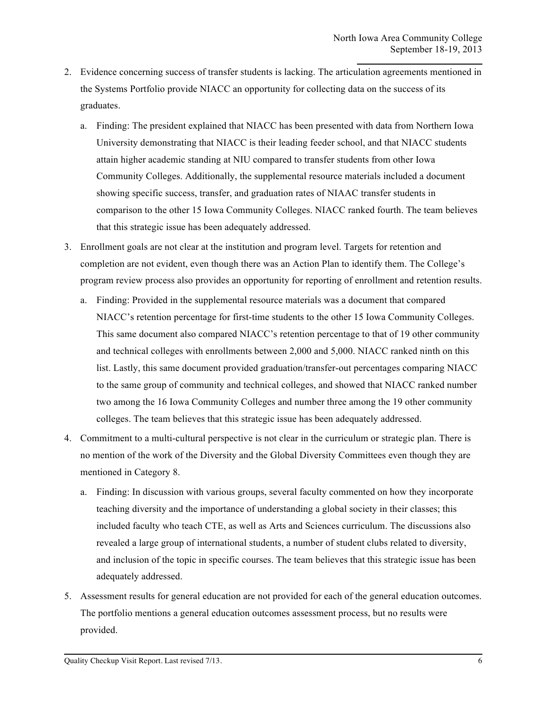- 2. Evidence concerning success of transfer students is lacking. The articulation agreements mentioned in the Systems Portfolio provide NIACC an opportunity for collecting data on the success of its graduates.
	- a. Finding: The president explained that NIACC has been presented with data from Northern Iowa University demonstrating that NIACC is their leading feeder school, and that NIACC students attain higher academic standing at NIU compared to transfer students from other Iowa Community Colleges. Additionally, the supplemental resource materials included a document showing specific success, transfer, and graduation rates of NIAAC transfer students in comparison to the other 15 Iowa Community Colleges. NIACC ranked fourth. The team believes that this strategic issue has been adequately addressed.
- 3. Enrollment goals are not clear at the institution and program level. Targets for retention and completion are not evident, even though there was an Action Plan to identify them. The College's program review process also provides an opportunity for reporting of enrollment and retention results.
	- a. Finding: Provided in the supplemental resource materials was a document that compared NIACC's retention percentage for first-time students to the other 15 Iowa Community Colleges. This same document also compared NIACC's retention percentage to that of 19 other community and technical colleges with enrollments between 2,000 and 5,000. NIACC ranked ninth on this list. Lastly, this same document provided graduation/transfer-out percentages comparing NIACC to the same group of community and technical colleges, and showed that NIACC ranked number two among the 16 Iowa Community Colleges and number three among the 19 other community colleges. The team believes that this strategic issue has been adequately addressed.
- 4. Commitment to a multi-cultural perspective is not clear in the curriculum or strategic plan. There is no mention of the work of the Diversity and the Global Diversity Committees even though they are mentioned in Category 8.
	- a. Finding: In discussion with various groups, several faculty commented on how they incorporate teaching diversity and the importance of understanding a global society in their classes; this included faculty who teach CTE, as well as Arts and Sciences curriculum. The discussions also revealed a large group of international students, a number of student clubs related to diversity, and inclusion of the topic in specific courses. The team believes that this strategic issue has been adequately addressed.
- 5. Assessment results for general education are not provided for each of the general education outcomes. The portfolio mentions a general education outcomes assessment process, but no results were provided.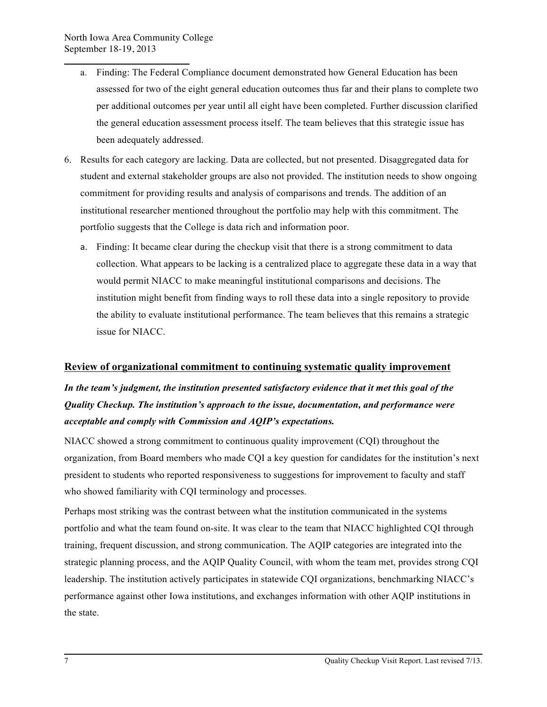- a. Finding: The Federal Compliance document demonstrated how General Education has been assessed for two of the eight general education outcomes thus far and their plans to complete two per additional outcomes per year until all eight have been completed. Further discussion clarified the general education assessment process itself. The team believes that this strategic issue has been adequately addressed.
- 6. Results for each category are lacking. Data are collected, but not presented. Disaggregated data for student and external stakeholder groups are also not provided. The institution needs to show ongoing commitment for providing results and analysis of comparisons and trends. The addition of an institutional researcher mentioned throughout the portfolio may help with this commitment. The portfolio suggests that the College is data rich and information poor.
	- a. Finding: It became clear during the checkup visit that there is a strong commitment to data collection. What appears to be lacking is a centralized place to aggregate these data in a way that would permit NIACC to make meaningful institutional comparisons and decisions. The institution might benefit from finding ways to roll these data into a single repository to provide the ability to evaluate institutional performance. The team believes that this remains a strategic issue for NIACC.

#### **Review of organizational commitment to continuing systematic quality improvement**

*In the team's judgment, the institution presented satisfactory evidence that it met this goal of the Quality Checkup. The institution's approach to the issue, documentation, and performance were acceptable and comply with Commission and AQIP's expectations.*

NIACC showed a strong commitment to continuous quality improvement (CQI) throughout the organization, from Board members who made CQI a key question for candidates for the institution's next president to students who reported responsiveness to suggestions for improvement to faculty and staff who showed familiarity with CQI terminology and processes.

Perhaps most striking was the contrast between what the institution communicated in the systems portfolio and what the team found on-site. It was clear to the team that NIACC highlighted CQI through training, frequent discussion, and strong communication. The AQIP categories are integrated into the strategic planning process, and the AQIP Quality Council, with whom the team met, provides strong CQI leadership. The institution actively participates in statewide CQI organizations, benchmarking NIACC's performance against other Iowa institutions, and exchanges information with other AQIP institutions in the state.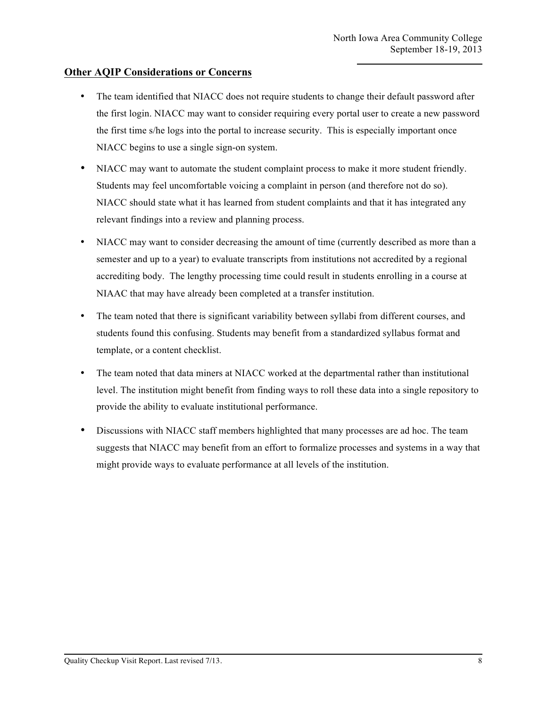#### **Other AQIP Considerations or Concerns**

- The team identified that NIACC does not require students to change their default password after the first login. NIACC may want to consider requiring every portal user to create a new password the first time s/he logs into the portal to increase security. This is especially important once NIACC begins to use a single sign-on system.
- NIACC may want to automate the student complaint process to make it more student friendly. Students may feel uncomfortable voicing a complaint in person (and therefore not do so). NIACC should state what it has learned from student complaints and that it has integrated any relevant findings into a review and planning process.
- NIACC may want to consider decreasing the amount of time (currently described as more than a semester and up to a year) to evaluate transcripts from institutions not accredited by a regional accrediting body. The lengthy processing time could result in students enrolling in a course at NIAAC that may have already been completed at a transfer institution.
- The team noted that there is significant variability between syllabi from different courses, and students found this confusing. Students may benefit from a standardized syllabus format and template, or a content checklist.
- The team noted that data miners at NIACC worked at the departmental rather than institutional level. The institution might benefit from finding ways to roll these data into a single repository to provide the ability to evaluate institutional performance.
- Discussions with NIACC staff members highlighted that many processes are ad hoc. The team suggests that NIACC may benefit from an effort to formalize processes and systems in a way that might provide ways to evaluate performance at all levels of the institution.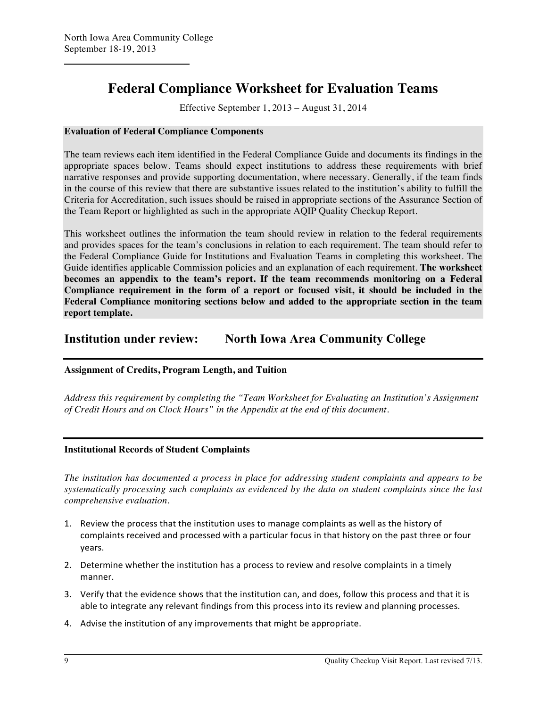## **Federal Compliance Worksheet for Evaluation Teams**

Effective September 1, 2013 – August 31, 2014

#### **Evaluation of Federal Compliance Components**

The team reviews each item identified in the Federal Compliance Guide and documents its findings in the appropriate spaces below. Teams should expect institutions to address these requirements with brief narrative responses and provide supporting documentation, where necessary. Generally, if the team finds in the course of this review that there are substantive issues related to the institution's ability to fulfill the Criteria for Accreditation, such issues should be raised in appropriate sections of the Assurance Section of the Team Report or highlighted as such in the appropriate AQIP Quality Checkup Report.

This worksheet outlines the information the team should review in relation to the federal requirements and provides spaces for the team's conclusions in relation to each requirement. The team should refer to the Federal Compliance Guide for Institutions and Evaluation Teams in completing this worksheet. The Guide identifies applicable Commission policies and an explanation of each requirement. **The worksheet becomes an appendix to the team's report. If the team recommends monitoring on a Federal Compliance requirement in the form of a report or focused visit, it should be included in the Federal Compliance monitoring sections below and added to the appropriate section in the team report template.**

## **Institution under review: North Iowa Area Community College**

#### **Assignment of Credits, Program Length, and Tuition**

*Address this requirement by completing the "Team Worksheet for Evaluating an Institution's Assignment of Credit Hours and on Clock Hours" in the Appendix at the end of this document.*

#### **Institutional Records of Student Complaints**

*The institution has documented a process in place for addressing student complaints and appears to be systematically processing such complaints as evidenced by the data on student complaints since the last comprehensive evaluation.*

- 1. Review the process that the institution uses to manage complaints as well as the history of complaints received and processed with a particular focus in that history on the past three or four years.
- 2. Determine whether the institution has a process to review and resolve complaints in a timely manner.
- 3. Verify that the evidence shows that the institution can, and does, follow this process and that it is able to integrate any relevant findings from this process into its review and planning processes.
- 4. Advise the institution of any improvements that might be appropriate.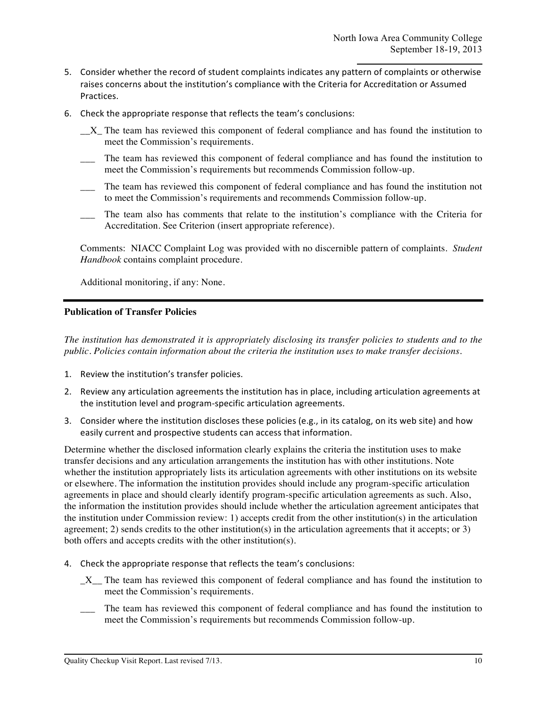- 5. Consider whether the record of student complaints indicates any pattern of complaints or otherwise raises concerns about the institution's compliance with the Criteria for Accreditation or Assumed Practices.
- 6. Check the appropriate response that reflects the team's conclusions:
	- \_\_X\_ The team has reviewed this component of federal compliance and has found the institution to meet the Commission's requirements.
	- The team has reviewed this component of federal compliance and has found the institution to meet the Commission's requirements but recommends Commission follow-up.
	- \_\_\_ The team has reviewed this component of federal compliance and has found the institution not to meet the Commission's requirements and recommends Commission follow-up.
	- The team also has comments that relate to the institution's compliance with the Criteria for Accreditation. See Criterion (insert appropriate reference).

Comments: NIACC Complaint Log was provided with no discernible pattern of complaints. *Student Handbook* contains complaint procedure.

Additional monitoring, if any: None.

#### **Publication of Transfer Policies**

*The institution has demonstrated it is appropriately disclosing its transfer policies to students and to the public. Policies contain information about the criteria the institution uses to make transfer decisions.* 

- 1. Review the institution's transfer policies.
- 2. Review any articulation agreements the institution has in place, including articulation agreements at the institution level and program-specific articulation agreements.
- 3. Consider where the institution discloses these policies (e.g., in its catalog, on its web site) and how easily current and prospective students can access that information.

Determine whether the disclosed information clearly explains the criteria the institution uses to make transfer decisions and any articulation arrangements the institution has with other institutions. Note whether the institution appropriately lists its articulation agreements with other institutions on its website or elsewhere. The information the institution provides should include any program-specific articulation agreements in place and should clearly identify program-specific articulation agreements as such. Also, the information the institution provides should include whether the articulation agreement anticipates that the institution under Commission review: 1) accepts credit from the other institution(s) in the articulation agreement; 2) sends credits to the other institution(s) in the articulation agreements that it accepts; or 3) both offers and accepts credits with the other institution(s).

- 4. Check the appropriate response that reflects the team's conclusions:
	- \_X\_\_ The team has reviewed this component of federal compliance and has found the institution to meet the Commission's requirements.
	- \_\_\_ The team has reviewed this component of federal compliance and has found the institution to meet the Commission's requirements but recommends Commission follow-up.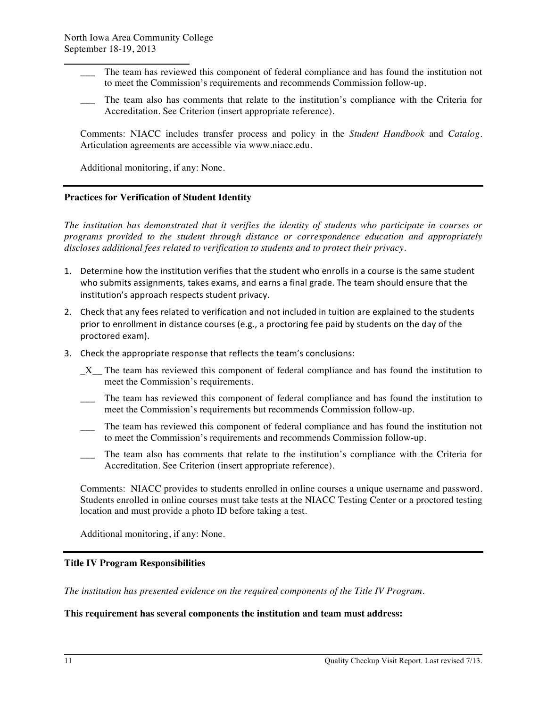- \_\_\_ The team has reviewed this component of federal compliance and has found the institution not to meet the Commission's requirements and recommends Commission follow-up.
- The team also has comments that relate to the institution's compliance with the Criteria for Accreditation. See Criterion (insert appropriate reference).

Comments: NIACC includes transfer process and policy in the *Student Handbook* and *Catalog.* Articulation agreements are accessible via www.niacc.edu.

Additional monitoring, if any: None.

#### **Practices for Verification of Student Identity**

*The institution has demonstrated that it verifies the identity of students who participate in courses or programs provided to the student through distance or correspondence education and appropriately discloses additional fees related to verification to students and to protect their privacy.* 

- 1. Determine how the institution verifies that the student who enrolls in a course is the same student who submits assignments, takes exams, and earns a final grade. The team should ensure that the institution's approach respects student privacy.
- 2. Check that any fees related to verification and not included in tuition are explained to the students prior to enrollment in distance courses (e.g., a proctoring fee paid by students on the day of the proctored exam).
- 3. Check the appropriate response that reflects the team's conclusions:
	- \_X\_\_ The team has reviewed this component of federal compliance and has found the institution to meet the Commission's requirements.
	- \_\_\_ The team has reviewed this component of federal compliance and has found the institution to meet the Commission's requirements but recommends Commission follow-up.
	- \_\_\_ The team has reviewed this component of federal compliance and has found the institution not to meet the Commission's requirements and recommends Commission follow-up.
	- \_\_\_ The team also has comments that relate to the institution's compliance with the Criteria for Accreditation. See Criterion (insert appropriate reference).

Comments: NIACC provides to students enrolled in online courses a unique username and password. Students enrolled in online courses must take tests at the NIACC Testing Center or a proctored testing location and must provide a photo ID before taking a test.

Additional monitoring, if any: None.

#### **Title IV Program Responsibilities**

*The institution has presented evidence on the required components of the Title IV Program.*

**This requirement has several components the institution and team must address:**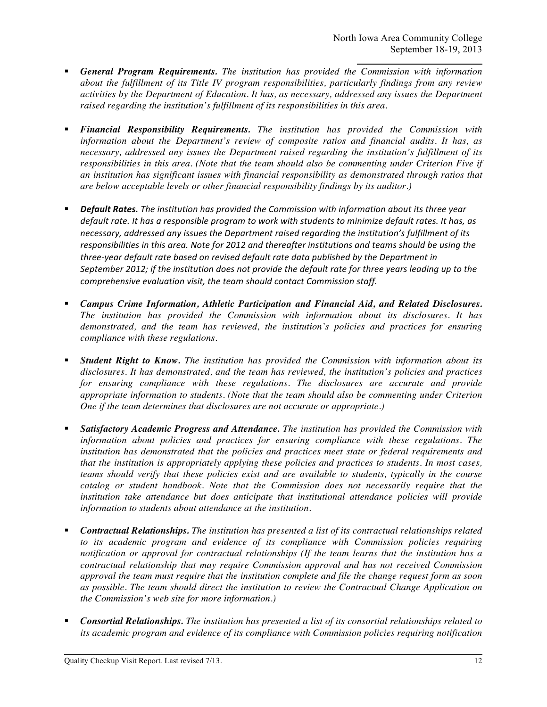- § *General Program Requirements. The institution has provided the Commission with information about the fulfillment of its Title IV program responsibilities, particularly findings from any review activities by the Department of Education. It has, as necessary, addressed any issues the Department raised regarding the institution's fulfillment of its responsibilities in this area.*
- § *Financial Responsibility Requirements. The institution has provided the Commission with information about the Department's review of composite ratios and financial audits. It has, as necessary, addressed any issues the Department raised regarding the institution's fulfillment of its responsibilities in this area. (Note that the team should also be commenting under Criterion Five if an institution has significant issues with financial responsibility as demonstrated through ratios that are below acceptable levels or other financial responsibility findings by its auditor.)*
- **Default Rates.** The institution has provided the Commission with information about its three year default rate. It has a responsible program to work with students to minimize default rates. It has, as necessary, addressed any issues the Department raised regarding the institution's fulfillment of its responsibilities in this area. Note for 2012 and thereafter institutions and teams should be using the *three-year default rate based on revised default rate data published by the Department in* September 2012; if the institution does not provide the default rate for three years leading up to the comprehensive evaluation visit, the team should contact Commission staff.
- § *Campus Crime Information, Athletic Participation and Financial Aid, and Related Disclosures. The institution has provided the Commission with information about its disclosures. It has demonstrated, and the team has reviewed, the institution's policies and practices for ensuring compliance with these regulations.*
- § *Student Right to Know. The institution has provided the Commission with information about its disclosures. It has demonstrated, and the team has reviewed, the institution's policies and practices for ensuring compliance with these regulations. The disclosures are accurate and provide appropriate information to students. (Note that the team should also be commenting under Criterion One if the team determines that disclosures are not accurate or appropriate.)*
- § *Satisfactory Academic Progress and Attendance. The institution has provided the Commission with information about policies and practices for ensuring compliance with these regulations. The institution has demonstrated that the policies and practices meet state or federal requirements and that the institution is appropriately applying these policies and practices to students. In most cases, teams should verify that these policies exist and are available to students, typically in the course catalog or student handbook. Note that the Commission does not necessarily require that the institution take attendance but does anticipate that institutional attendance policies will provide information to students about attendance at the institution.*
- § *Contractual Relationships. The institution has presented a list of its contractual relationships related to its academic program and evidence of its compliance with Commission policies requiring notification or approval for contractual relationships (If the team learns that the institution has a contractual relationship that may require Commission approval and has not received Commission approval the team must require that the institution complete and file the change request form as soon as possible. The team should direct the institution to review the Contractual Change Application on the Commission's web site for more information.)*
- § *Consortial Relationships. The institution has presented a list of its consortial relationships related to its academic program and evidence of its compliance with Commission policies requiring notification*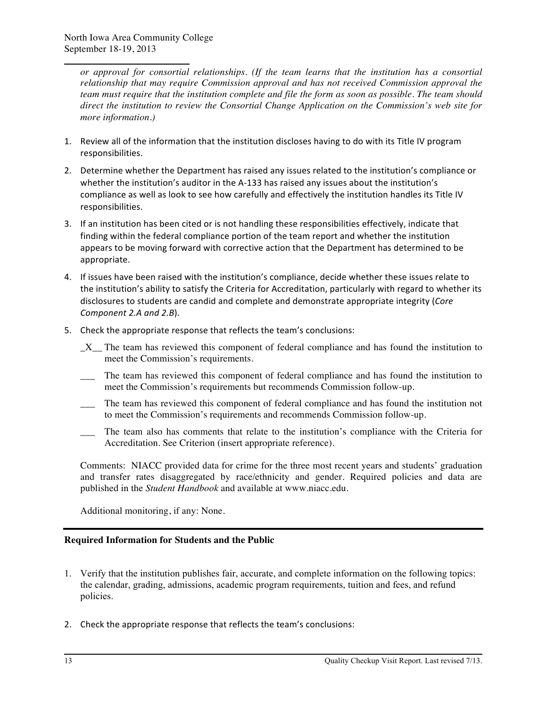*or approval for consortial relationships. (If the team learns that the institution has a consortial relationship that may require Commission approval and has not received Commission approval the team must require that the institution complete and file the form as soon as possible. The team should direct the institution to review the Consortial Change Application on the Commission's web site for more information.)* 

- 1. Review all of the information that the institution discloses having to do with its Title IV program responsibilities.
- 2. Determine whether the Department has raised any issues related to the institution's compliance or whether the institution's auditor in the A-133 has raised any issues about the institution's compliance as well as look to see how carefully and effectively the institution handles its Title IV responsibilities.
- 3. If an institution has been cited or is not handling these responsibilities effectively, indicate that finding within the federal compliance portion of the team report and whether the institution appears to be moving forward with corrective action that the Department has determined to be appropriate.
- 4. If issues have been raised with the institution's compliance, decide whether these issues relate to the institution's ability to satisfy the Criteria for Accreditation, particularly with regard to whether its disclosures to students are candid and complete and demonstrate appropriate integrity (*Core Component 2.A and 2.B*).
- 5. Check the appropriate response that reflects the team's conclusions:
	- \_X\_\_ The team has reviewed this component of federal compliance and has found the institution to meet the Commission's requirements.
	- The team has reviewed this component of federal compliance and has found the institution to meet the Commission's requirements but recommends Commission follow-up.
	- \_\_\_ The team has reviewed this component of federal compliance and has found the institution not to meet the Commission's requirements and recommends Commission follow-up.
	- The team also has comments that relate to the institution's compliance with the Criteria for Accreditation. See Criterion (insert appropriate reference).

Comments: NIACC provided data for crime for the three most recent years and students' graduation and transfer rates disaggregated by race/ethnicity and gender. Required policies and data are published in the *Student Handbook* and available at www.niacc.edu.

Additional monitoring, if any: None.

#### **Required Information for Students and the Public**

- 1. Verify that the institution publishes fair, accurate, and complete information on the following topics: the calendar, grading, admissions, academic program requirements, tuition and fees, and refund policies.
- 2. Check the appropriate response that reflects the team's conclusions: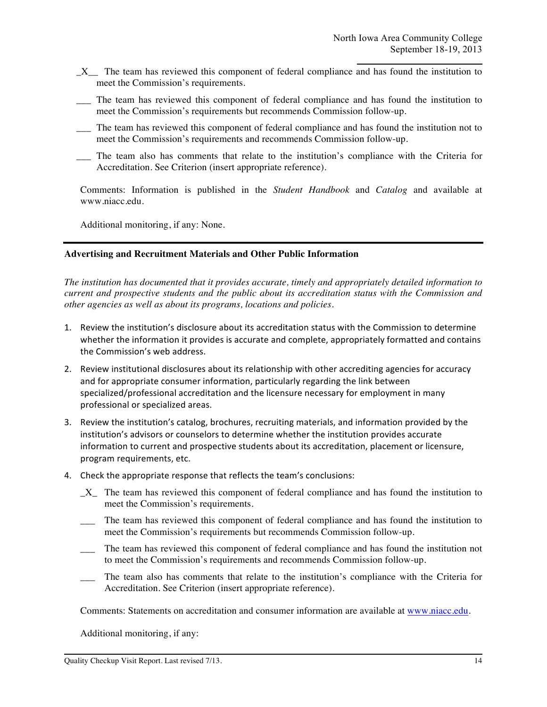- \_X\_\_ The team has reviewed this component of federal compliance and has found the institution to meet the Commission's requirements.
- \_\_\_ The team has reviewed this component of federal compliance and has found the institution to meet the Commission's requirements but recommends Commission follow-up.
- \_\_\_ The team has reviewed this component of federal compliance and has found the institution not to meet the Commission's requirements and recommends Commission follow-up.
- \_\_\_ The team also has comments that relate to the institution's compliance with the Criteria for Accreditation. See Criterion (insert appropriate reference).

Comments: Information is published in the *Student Handbook* and *Catalog* and available at www.niacc.edu.

Additional monitoring, if any: None.

#### **Advertising and Recruitment Materials and Other Public Information**

*The institution has documented that it provides accurate, timely and appropriately detailed information to current and prospective students and the public about its accreditation status with the Commission and other agencies as well as about its programs, locations and policies.* 

- 1. Review the institution's disclosure about its accreditation status with the Commission to determine whether the information it provides is accurate and complete, appropriately formatted and contains the Commission's web address.
- 2. Review institutional disclosures about its relationship with other accrediting agencies for accuracy and for appropriate consumer information, particularly regarding the link between specialized/professional accreditation and the licensure necessary for employment in many professional or specialized areas.
- 3. Review the institution's catalog, brochures, recruiting materials, and information provided by the institution's advisors or counselors to determine whether the institution provides accurate information to current and prospective students about its accreditation, placement or licensure, program requirements, etc.
- 4. Check the appropriate response that reflects the team's conclusions:
	- \_X\_ The team has reviewed this component of federal compliance and has found the institution to meet the Commission's requirements.
	- \_\_\_ The team has reviewed this component of federal compliance and has found the institution to meet the Commission's requirements but recommends Commission follow-up.
	- \_\_\_ The team has reviewed this component of federal compliance and has found the institution not to meet the Commission's requirements and recommends Commission follow-up.
	- \_\_\_ The team also has comments that relate to the institution's compliance with the Criteria for Accreditation. See Criterion (insert appropriate reference).

Comments: Statements on accreditation and consumer information are available at www.niacc.edu.

Additional monitoring, if any: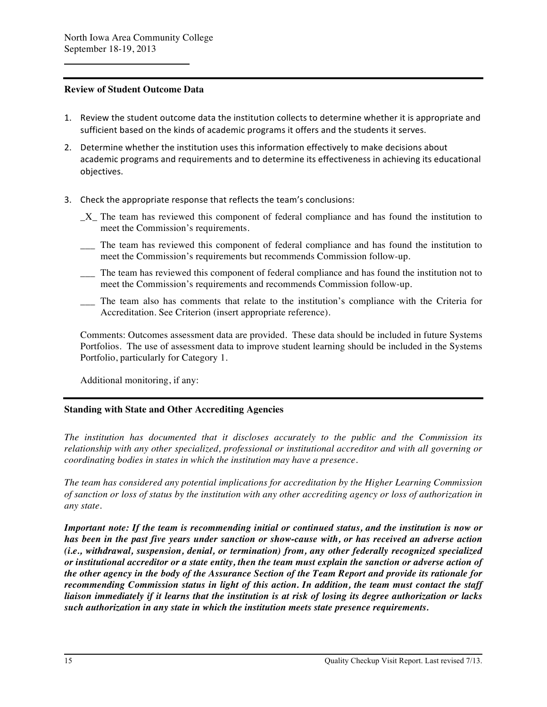#### **Review of Student Outcome Data**

- 1. Review the student outcome data the institution collects to determine whether it is appropriate and sufficient based on the kinds of academic programs it offers and the students it serves.
- 2. Determine whether the institution uses this information effectively to make decisions about academic programs and requirements and to determine its effectiveness in achieving its educational objectives.
- 3. Check the appropriate response that reflects the team's conclusions:
	- \_X\_ The team has reviewed this component of federal compliance and has found the institution to meet the Commission's requirements.
	- \_\_\_ The team has reviewed this component of federal compliance and has found the institution to meet the Commission's requirements but recommends Commission follow-up.
	- \_\_\_ The team has reviewed this component of federal compliance and has found the institution not to meet the Commission's requirements and recommends Commission follow-up.
	- \_\_\_ The team also has comments that relate to the institution's compliance with the Criteria for Accreditation. See Criterion (insert appropriate reference).

Comments: Outcomes assessment data are provided. These data should be included in future Systems Portfolios. The use of assessment data to improve student learning should be included in the Systems Portfolio, particularly for Category 1.

Additional monitoring, if any:

#### **Standing with State and Other Accrediting Agencies**

*The institution has documented that it discloses accurately to the public and the Commission its relationship with any other specialized, professional or institutional accreditor and with all governing or coordinating bodies in states in which the institution may have a presence.*

*The team has considered any potential implications for accreditation by the Higher Learning Commission of sanction or loss of status by the institution with any other accrediting agency or loss of authorization in any state.*

*Important note: If the team is recommending initial or continued status, and the institution is now or has been in the past five years under sanction or show-cause with, or has received an adverse action (i.e., withdrawal, suspension, denial, or termination) from, any other federally recognized specialized or institutional accreditor or a state entity, then the team must explain the sanction or adverse action of the other agency in the body of the Assurance Section of the Team Report and provide its rationale for recommending Commission status in light of this action. In addition, the team must contact the staff liaison immediately if it learns that the institution is at risk of losing its degree authorization or lacks such authorization in any state in which the institution meets state presence requirements.*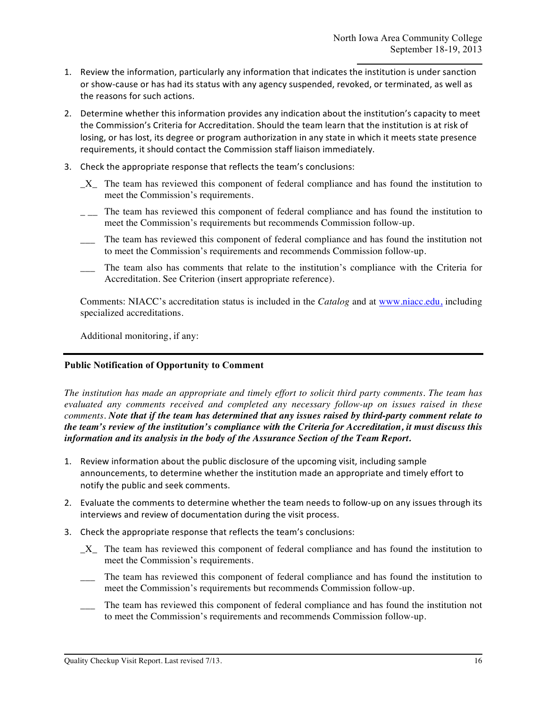- 1. Review the information, particularly any information that indicates the institution is under sanction or show-cause or has had its status with any agency suspended, revoked, or terminated, as well as the reasons for such actions.
- 2. Determine whether this information provides any indication about the institution's capacity to meet the Commission's Criteria for Accreditation. Should the team learn that the institution is at risk of losing, or has lost, its degree or program authorization in any state in which it meets state presence requirements, it should contact the Commission staff liaison immediately.
- 3. Check the appropriate response that reflects the team's conclusions:
	- \_X\_ The team has reviewed this component of federal compliance and has found the institution to meet the Commission's requirements.
	- \_ \_ The team has reviewed this component of federal compliance and has found the institution to meet the Commission's requirements but recommends Commission follow-up.
	- \_\_\_ The team has reviewed this component of federal compliance and has found the institution not to meet the Commission's requirements and recommends Commission follow-up.
	- \_\_\_ The team also has comments that relate to the institution's compliance with the Criteria for Accreditation. See Criterion (insert appropriate reference).

Comments: NIACC's accreditation status is included in the *Catalog* and at www.niacc.edu, including specialized accreditations.

Additional monitoring, if any:

#### **Public Notification of Opportunity to Comment**

*The institution has made an appropriate and timely effort to solicit third party comments. The team has evaluated any comments received and completed any necessary follow-up on issues raised in these comments. Note that if the team has determined that any issues raised by third-party comment relate to the team's review of the institution's compliance with the Criteria for Accreditation, it must discuss this information and its analysis in the body of the Assurance Section of the Team Report.*

- 1. Review information about the public disclosure of the upcoming visit, including sample announcements, to determine whether the institution made an appropriate and timely effort to notify the public and seek comments.
- 2. Evaluate the comments to determine whether the team needs to follow-up on any issues through its interviews and review of documentation during the visit process.
- 3. Check the appropriate response that reflects the team's conclusions:
	- \_X\_ The team has reviewed this component of federal compliance and has found the institution to meet the Commission's requirements.
	- \_\_\_ The team has reviewed this component of federal compliance and has found the institution to meet the Commission's requirements but recommends Commission follow-up.
	- \_\_\_ The team has reviewed this component of federal compliance and has found the institution not to meet the Commission's requirements and recommends Commission follow-up.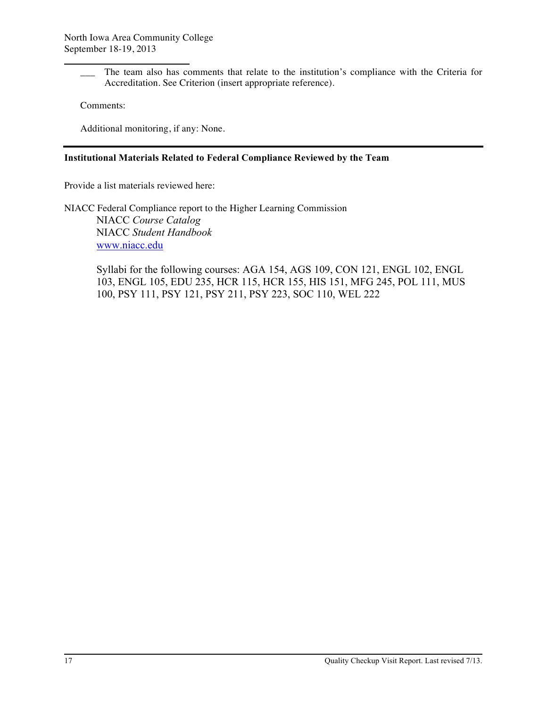The team also has comments that relate to the institution's compliance with the Criteria for Accreditation. See Criterion (insert appropriate reference).

Comments:

Additional monitoring, if any: None.

#### **Institutional Materials Related to Federal Compliance Reviewed by the Team**

Provide a list materials reviewed here:

NIACC Federal Compliance report to the Higher Learning Commission NIACC *Course Catalog* NIACC *Student Handbook* www.niacc.edu

> Syllabi for the following courses: AGA 154, AGS 109, CON 121, ENGL 102, ENGL 103, ENGL 105, EDU 235, HCR 115, HCR 155, HIS 151, MFG 245, POL 111, MUS 100, PSY 111, PSY 121, PSY 211, PSY 223, SOC 110, WEL 222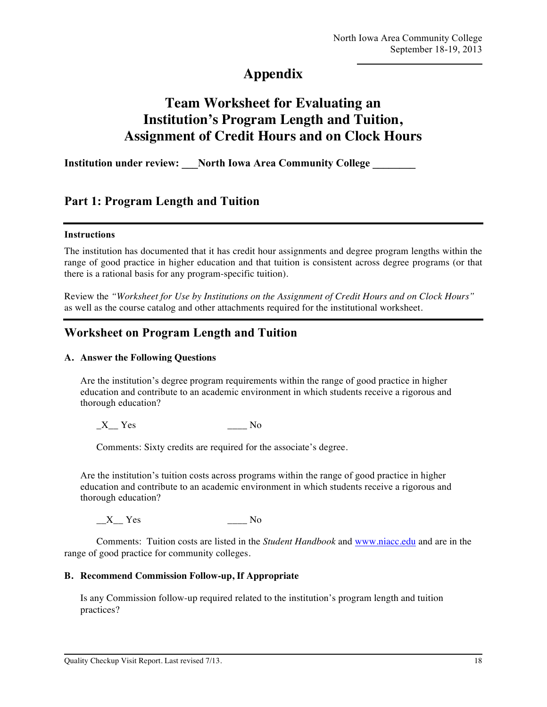## **Appendix**

## **Team Worksheet for Evaluating an Institution's Program Length and Tuition, Assignment of Credit Hours and on Clock Hours**

**Institution under review:** North Iowa Area Community College

## **Part 1: Program Length and Tuition**

#### **Instructions**

The institution has documented that it has credit hour assignments and degree program lengths within the range of good practice in higher education and that tuition is consistent across degree programs (or that there is a rational basis for any program-specific tuition).

Review the *"Worksheet for Use by Institutions on the Assignment of Credit Hours and on Clock Hours"* as well as the course catalog and other attachments required for the institutional worksheet.

## **Worksheet on Program Length and Tuition**

#### **A. Answer the Following Questions**

Are the institution's degree program requirements within the range of good practice in higher education and contribute to an academic environment in which students receive a rigorous and thorough education?

 $X$   $Yes$   $No$ 

Comments: Sixty credits are required for the associate's degree.

Are the institution's tuition costs across programs within the range of good practice in higher education and contribute to an academic environment in which students receive a rigorous and thorough education?

 $X$ <sup>Nes</sup> No

Comments: Tuition costs are listed in the *Student Handbook* and www.niacc.edu and are in the range of good practice for community colleges.

#### **B. Recommend Commission Follow-up, If Appropriate**

Is any Commission follow-up required related to the institution's program length and tuition practices?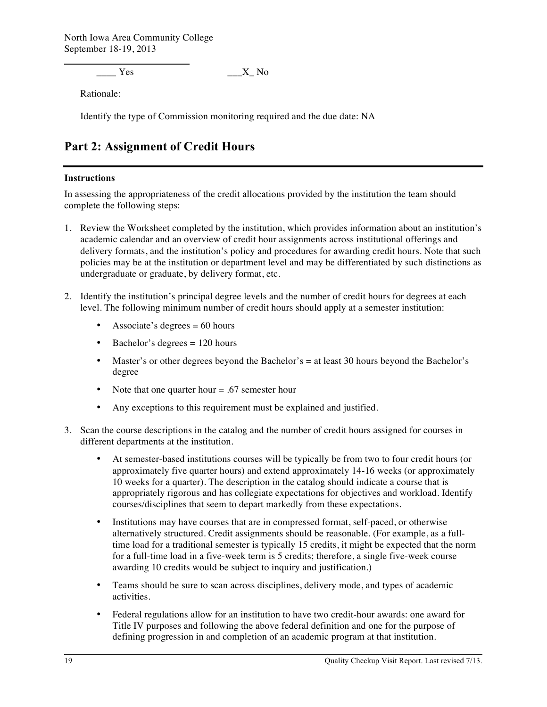North Iowa Area Community College September 18-19, 2013

 $Yes$   $\_X$  No

Rationale:

Identify the type of Commission monitoring required and the due date: NA

## **Part 2: Assignment of Credit Hours**

#### **Instructions**

In assessing the appropriateness of the credit allocations provided by the institution the team should complete the following steps:

- 1. Review the Worksheet completed by the institution, which provides information about an institution's academic calendar and an overview of credit hour assignments across institutional offerings and delivery formats, and the institution's policy and procedures for awarding credit hours. Note that such policies may be at the institution or department level and may be differentiated by such distinctions as undergraduate or graduate, by delivery format, etc.
- 2. Identify the institution's principal degree levels and the number of credit hours for degrees at each level. The following minimum number of credit hours should apply at a semester institution:
	- Associate's degrees  $= 60$  hours
	- Bachelor's degrees = 120 hours
	- Master's or other degrees beyond the Bachelor's = at least 30 hours beyond the Bachelor's degree
	- Note that one quarter hour = .67 semester hour
	- Any exceptions to this requirement must be explained and justified.
- 3. Scan the course descriptions in the catalog and the number of credit hours assigned for courses in different departments at the institution.
	- At semester-based institutions courses will be typically be from two to four credit hours (or approximately five quarter hours) and extend approximately 14-16 weeks (or approximately 10 weeks for a quarter). The description in the catalog should indicate a course that is appropriately rigorous and has collegiate expectations for objectives and workload. Identify courses/disciplines that seem to depart markedly from these expectations.
	- Institutions may have courses that are in compressed format, self-paced, or otherwise alternatively structured. Credit assignments should be reasonable. (For example, as a fulltime load for a traditional semester is typically 15 credits, it might be expected that the norm for a full-time load in a five-week term is 5 credits; therefore, a single five-week course awarding 10 credits would be subject to inquiry and justification.)
	- Teams should be sure to scan across disciplines, delivery mode, and types of academic activities.
	- Federal regulations allow for an institution to have two credit-hour awards: one award for Title IV purposes and following the above federal definition and one for the purpose of defining progression in and completion of an academic program at that institution.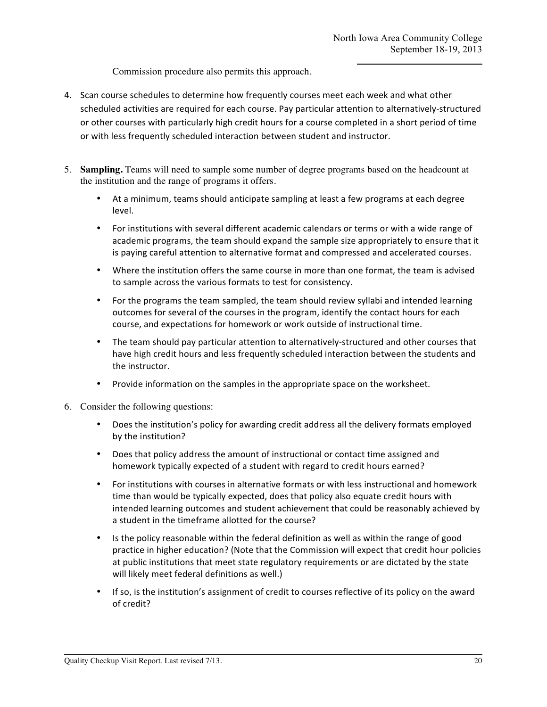Commission procedure also permits this approach.

- 4. Scan course schedules to determine how frequently courses meet each week and what other scheduled activities are required for each course. Pay particular attention to alternatively-structured or other courses with particularly high credit hours for a course completed in a short period of time or with less frequently scheduled interaction between student and instructor.
- 5. **Sampling.** Teams will need to sample some number of degree programs based on the headcount at the institution and the range of programs it offers.
	- At a minimum, teams should anticipate sampling at least a few programs at each degree level.
	- For institutions with several different academic calendars or terms or with a wide range of academic programs, the team should expand the sample size appropriately to ensure that it is paying careful attention to alternative format and compressed and accelerated courses.
	- Where the institution offers the same course in more than one format, the team is advised to sample across the various formats to test for consistency.
	- For the programs the team sampled, the team should review syllabi and intended learning outcomes for several of the courses in the program, identify the contact hours for each course, and expectations for homework or work outside of instructional time.
	- The team should pay particular attention to alternatively-structured and other courses that have high credit hours and less frequently scheduled interaction between the students and the instructor.
	- Provide information on the samples in the appropriate space on the worksheet.
- 6. Consider the following questions:
	- Does the institution's policy for awarding credit address all the delivery formats employed by the institution?
	- Does that policy address the amount of instructional or contact time assigned and homework typically expected of a student with regard to credit hours earned?
	- For institutions with courses in alternative formats or with less instructional and homework time than would be typically expected, does that policy also equate credit hours with intended learning outcomes and student achievement that could be reasonably achieved by a student in the timeframe allotted for the course?
	- Is the policy reasonable within the federal definition as well as within the range of good practice in higher education? (Note that the Commission will expect that credit hour policies at public institutions that meet state regulatory requirements or are dictated by the state will likely meet federal definitions as well.)
	- If so, is the institution's assignment of credit to courses reflective of its policy on the award of credit?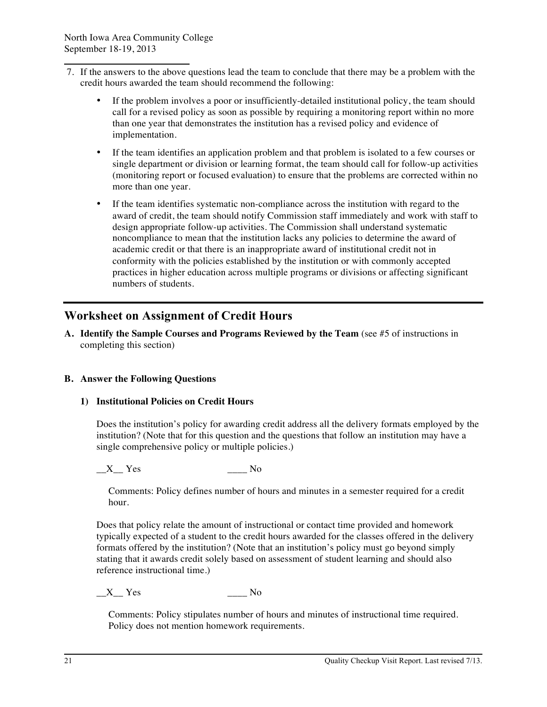- 7. If the answers to the above questions lead the team to conclude that there may be a problem with the credit hours awarded the team should recommend the following:
	- If the problem involves a poor or insufficiently-detailed institutional policy, the team should call for a revised policy as soon as possible by requiring a monitoring report within no more than one year that demonstrates the institution has a revised policy and evidence of implementation.
	- If the team identifies an application problem and that problem is isolated to a few courses or single department or division or learning format, the team should call for follow-up activities (monitoring report or focused evaluation) to ensure that the problems are corrected within no more than one year.
	- If the team identifies systematic non-compliance across the institution with regard to the award of credit, the team should notify Commission staff immediately and work with staff to design appropriate follow-up activities. The Commission shall understand systematic noncompliance to mean that the institution lacks any policies to determine the award of academic credit or that there is an inappropriate award of institutional credit not in conformity with the policies established by the institution or with commonly accepted practices in higher education across multiple programs or divisions or affecting significant numbers of students.

## **Worksheet on Assignment of Credit Hours**

**A. Identify the Sample Courses and Programs Reviewed by the Team** (see #5 of instructions in completing this section)

#### **B. Answer the Following Questions**

#### **1) Institutional Policies on Credit Hours**

Does the institution's policy for awarding credit address all the delivery formats employed by the institution? (Note that for this question and the questions that follow an institution may have a single comprehensive policy or multiple policies.)

X Yes No

Comments: Policy defines number of hours and minutes in a semester required for a credit hour.

Does that policy relate the amount of instructional or contact time provided and homework typically expected of a student to the credit hours awarded for the classes offered in the delivery formats offered by the institution? (Note that an institution's policy must go beyond simply stating that it awards credit solely based on assessment of student learning and should also reference instructional time.)

 $X$  Yes No

Comments: Policy stipulates number of hours and minutes of instructional time required. Policy does not mention homework requirements.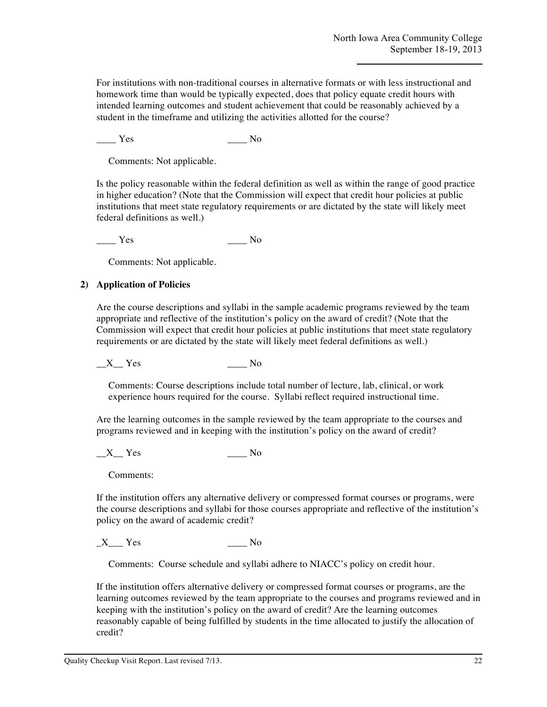For institutions with non-traditional courses in alternative formats or with less instructional and homework time than would be typically expected, does that policy equate credit hours with intended learning outcomes and student achievement that could be reasonably achieved by a student in the timeframe and utilizing the activities allotted for the course?

Yes No

Comments: Not applicable.

Is the policy reasonable within the federal definition as well as within the range of good practice in higher education? (Note that the Commission will expect that credit hour policies at public institutions that meet state regulatory requirements or are dictated by the state will likely meet federal definitions as well.)

Yes No

Comments: Not applicable.

#### **2) Application of Policies**

Are the course descriptions and syllabi in the sample academic programs reviewed by the team appropriate and reflective of the institution's policy on the award of credit? (Note that the Commission will expect that credit hour policies at public institutions that meet state regulatory requirements or are dictated by the state will likely meet federal definitions as well.)

 $X_{\text{max}}$  Yes  $\text{max}$  No

Comments: Course descriptions include total number of lecture, lab, clinical, or work experience hours required for the course. Syllabi reflect required instructional time.

Are the learning outcomes in the sample reviewed by the team appropriate to the courses and programs reviewed and in keeping with the institution's policy on the award of credit?

X Yes No

Comments:

If the institution offers any alternative delivery or compressed format courses or programs, were the course descriptions and syllabi for those courses appropriate and reflective of the institution's policy on the award of academic credit?

 $X$  Yes No

Comments: Course schedule and syllabi adhere to NIACC's policy on credit hour.

If the institution offers alternative delivery or compressed format courses or programs, are the learning outcomes reviewed by the team appropriate to the courses and programs reviewed and in keeping with the institution's policy on the award of credit? Are the learning outcomes reasonably capable of being fulfilled by students in the time allocated to justify the allocation of credit?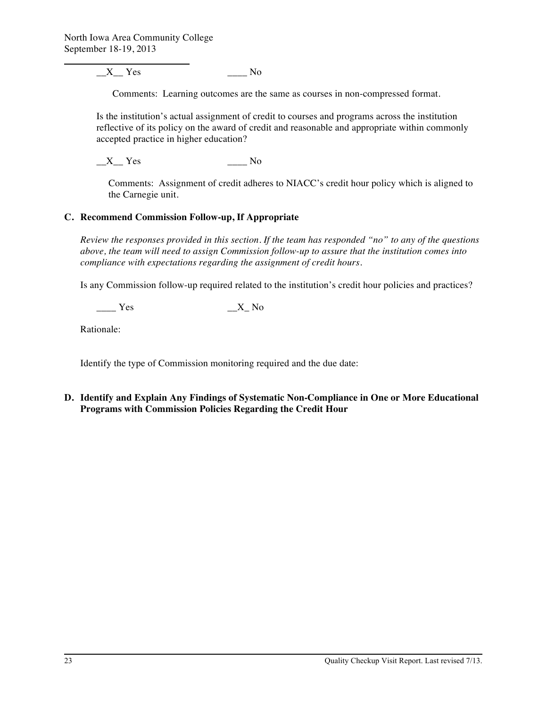X Yes No

Comments: Learning outcomes are the same as courses in non-compressed format.

Is the institution's actual assignment of credit to courses and programs across the institution reflective of its policy on the award of credit and reasonable and appropriate within commonly accepted practice in higher education?

 $X$  Yes  $N$ 

Comments: Assignment of credit adheres to NIACC's credit hour policy which is aligned to the Carnegie unit.

#### **C. Recommend Commission Follow-up, If Appropriate**

*Review the responses provided in this section. If the team has responded "no" to any of the questions above, the team will need to assign Commission follow-up to assure that the institution comes into compliance with expectations regarding the assignment of credit hours.*

Is any Commission follow-up required related to the institution's credit hour policies and practices?

 $\frac{X}{X}$  No

Rationale:

Identify the type of Commission monitoring required and the due date:

**D. Identify and Explain Any Findings of Systematic Non-Compliance in One or More Educational Programs with Commission Policies Regarding the Credit Hour**